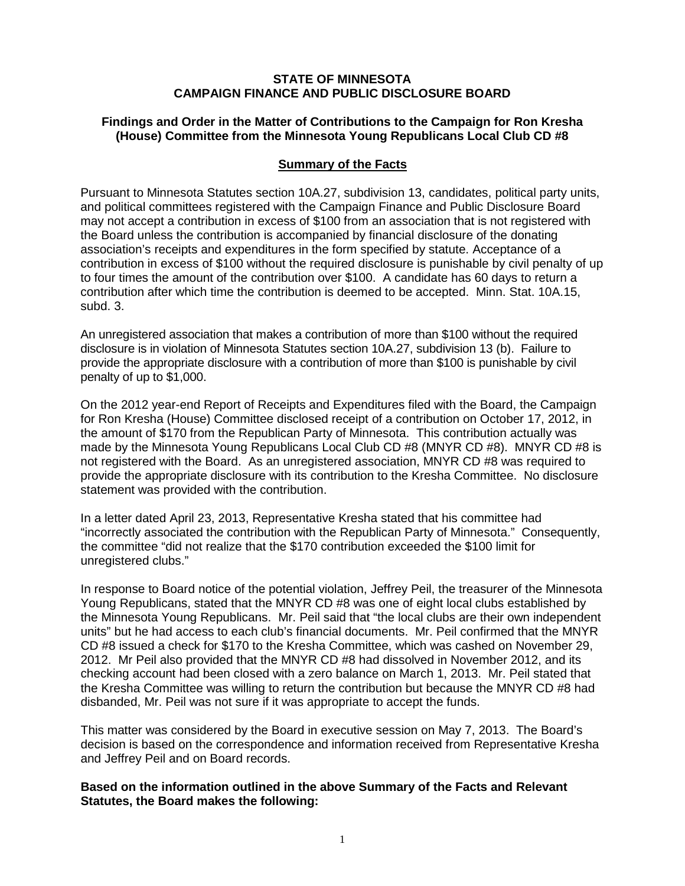## **STATE OF MINNESOTA CAMPAIGN FINANCE AND PUBLIC DISCLOSURE BOARD**

## **Findings and Order in the Matter of Contributions to the Campaign for Ron Kresha (House) Committee from the Minnesota Young Republicans Local Club CD #8**

## **Summary of the Facts**

Pursuant to Minnesota Statutes section 10A.27, subdivision 13, candidates, political party units, and political committees registered with the Campaign Finance and Public Disclosure Board may not accept a contribution in excess of \$100 from an association that is not registered with the Board unless the contribution is accompanied by financial disclosure of the donating association's receipts and expenditures in the form specified by statute. Acceptance of a contribution in excess of \$100 without the required disclosure is punishable by civil penalty of up to four times the amount of the contribution over \$100. A candidate has 60 days to return a contribution after which time the contribution is deemed to be accepted. Minn. Stat. 10A.15, subd. 3.

An unregistered association that makes a contribution of more than \$100 without the required disclosure is in violation of Minnesota Statutes section 10A.27, subdivision 13 (b). Failure to provide the appropriate disclosure with a contribution of more than \$100 is punishable by civil penalty of up to \$1,000.

On the 2012 year-end Report of Receipts and Expenditures filed with the Board, the Campaign for Ron Kresha (House) Committee disclosed receipt of a contribution on October 17, 2012, in the amount of \$170 from the Republican Party of Minnesota. This contribution actually was made by the Minnesota Young Republicans Local Club CD #8 (MNYR CD #8). MNYR CD #8 is not registered with the Board. As an unregistered association, MNYR CD #8 was required to provide the appropriate disclosure with its contribution to the Kresha Committee. No disclosure statement was provided with the contribution.

In a letter dated April 23, 2013, Representative Kresha stated that his committee had "incorrectly associated the contribution with the Republican Party of Minnesota." Consequently, the committee "did not realize that the \$170 contribution exceeded the \$100 limit for unregistered clubs."

In response to Board notice of the potential violation, Jeffrey Peil, the treasurer of the Minnesota Young Republicans, stated that the MNYR CD #8 was one of eight local clubs established by the Minnesota Young Republicans. Mr. Peil said that "the local clubs are their own independent units" but he had access to each club's financial documents. Mr. Peil confirmed that the MNYR CD #8 issued a check for \$170 to the Kresha Committee, which was cashed on November 29, 2012. Mr Peil also provided that the MNYR CD #8 had dissolved in November 2012, and its checking account had been closed with a zero balance on March 1, 2013. Mr. Peil stated that the Kresha Committee was willing to return the contribution but because the MNYR CD #8 had disbanded, Mr. Peil was not sure if it was appropriate to accept the funds.

This matter was considered by the Board in executive session on May 7, 2013. The Board's decision is based on the correspondence and information received from Representative Kresha and Jeffrey Peil and on Board records.

## **Based on the information outlined in the above Summary of the Facts and Relevant Statutes, the Board makes the following:**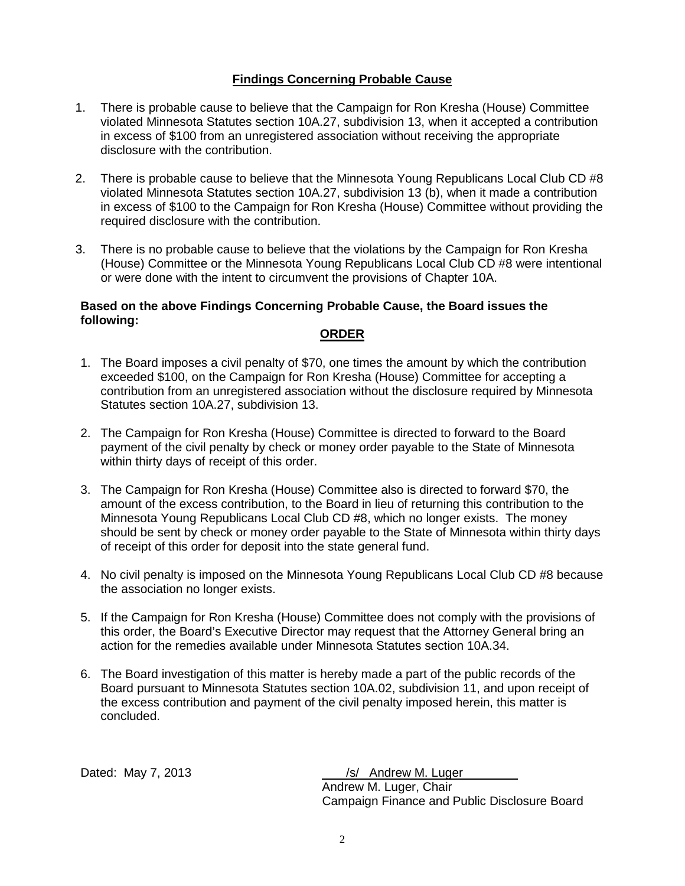# **Findings Concerning Probable Cause**

- 1. There is probable cause to believe that the Campaign for Ron Kresha (House) Committee violated Minnesota Statutes section 10A.27, subdivision 13, when it accepted a contribution in excess of \$100 from an unregistered association without receiving the appropriate disclosure with the contribution.
- 2. There is probable cause to believe that the Minnesota Young Republicans Local Club CD #8 violated Minnesota Statutes section 10A.27, subdivision 13 (b), when it made a contribution in excess of \$100 to the Campaign for Ron Kresha (House) Committee without providing the required disclosure with the contribution.
- 3. There is no probable cause to believe that the violations by the Campaign for Ron Kresha (House) Committee or the Minnesota Young Republicans Local Club CD #8 were intentional or were done with the intent to circumvent the provisions of Chapter 10A.

## **Based on the above Findings Concerning Probable Cause, the Board issues the following:**

## **ORDER**

- 1. The Board imposes a civil penalty of \$70, one times the amount by which the contribution exceeded \$100, on the Campaign for Ron Kresha (House) Committee for accepting a contribution from an unregistered association without the disclosure required by Minnesota Statutes section 10A.27, subdivision 13.
- 2. The Campaign for Ron Kresha (House) Committee is directed to forward to the Board payment of the civil penalty by check or money order payable to the State of Minnesota within thirty days of receipt of this order.
- 3. The Campaign for Ron Kresha (House) Committee also is directed to forward \$70, the amount of the excess contribution, to the Board in lieu of returning this contribution to the Minnesota Young Republicans Local Club CD #8, which no longer exists. The money should be sent by check or money order payable to the State of Minnesota within thirty days of receipt of this order for deposit into the state general fund.
- 4. No civil penalty is imposed on the Minnesota Young Republicans Local Club CD #8 because the association no longer exists.
- 5. If the Campaign for Ron Kresha (House) Committee does not comply with the provisions of this order, the Board's Executive Director may request that the Attorney General bring an action for the remedies available under Minnesota Statutes section 10A.34.
- 6. The Board investigation of this matter is hereby made a part of the public records of the Board pursuant to Minnesota Statutes section 10A.02, subdivision 11, and upon receipt of the excess contribution and payment of the civil penalty imposed herein, this matter is concluded.

Dated: May 7, 2013 /s/ Andrew M. Luger Andrew M. Luger, Chair Campaign Finance and Public Disclosure Board